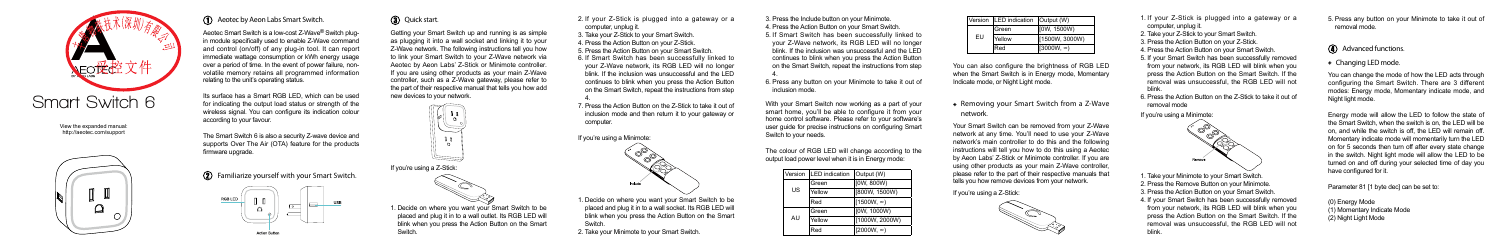View the expanded manual: http://aeotec.com/support





### Aeotec by Aeon Labs Smart Switch.

Aeotec Smart Switch is a low-cost Z-Wave® Switch plugin module specifically used to enable Z-Wave command and control (on/off) of any plug-in tool. It can report immediate wattage consumption or kWh energy usage over a period of time. In the event of power failure, nonvolatile memory retains all programmed information relating to the unit's operating status.

The Smart Switch 6 is also a security Z-wave device and supports Over The Air (OTA) feature for the products firmware upgrade.

 $\Omega$  Familiarize yourself with your Smart Switch.



### **3.** Quick start.

Its surface has a Smart RGB LED, which can be used for indicating the output load status or strength of the wireless signal. You can configure its indication colour according to your favour.

> 1. Decide on where you want your Smart Switch to be placed and plug it in to a wall socket. Its RGB LED will blink when you press the Action Button on the Smart **Switch.**

5. If Smart Switch has been successfully linked to your Z-Wave network, its RGB LED will no longer blink. If the inclusion was unsuccessful and the LED continues to blink when you press the Action Button on the Smart Switch, repeat the instructions from step 4.

Getting your Smart Switch up and running is as simple as plugging it into a wall socket and linking it to your Z-Wave network. The following instructions tell you how to link your Smart Switch to your Z-Wave network via Aeotec by Aeon Labs' Z-Stick or Minimote controller. If you are using other products as your main Z-Wave controller, such as a Z-Wave gateway, please refer to the part of their respective manual that tells you how add new devices to your network.

6. Press any button on your Minimote to take it out of inclusion mode.



1. Decide on where you want your Smart Switch to be placed and plug it in to a wall outlet. Its RGB LED will blink when you press the Action Button on the Smart Switch.

If you're using a Minimote:



2. Take your Minimote to your Smart Switch.

3. Press the Include button on your Minimote. 4. Press the Action Button on your Smart Switch.

2. If your Z-Stick is plugged into a gateway or a computer, unplug it.

> With your Smart Switch now working as a part of your smart home, you'll be able to configure it from your home control software. Please refer to your software's user guide for precise instructions on configuring Smart Switch to your needs.

Version EU

The colour of RGB LED will change according to the output load power level when it is in Energy mode:

Energy mode will allow the LED to follow the state of the Smart Switch, when the switch is on, the LED will be on, and while the switch is off, the LED will remain off. Momentary indicate mode will momentarily turn the LED on for 5 seconds then turn off after every state change in the switch. Night light mode will allow the LED to be turned on and off during your selected time of day you have configured for it.

Parameter 81 [1 byte dec] can be set to:

| Version | <b>LED</b> indication | Output (W)        |
|---------|-----------------------|-------------------|
| US      | Green                 | [0W, 800W)        |
|         | Yellow                | [800W, 1500W)     |
|         | Red                   | $[1500W, \infty)$ |
| AU      | Green                 | [0W, 1000W)       |
|         | Yellow                | [1000W, 2000W)    |
|         | Red                   | $[2000W, \infty)$ |

You can also configure the brightness of RGB LED when the Smart Switch is in Energy mode, Momentary Indicate mode, or Night Light mode.

3. Take your Z-Stick to your Smart Switch.

4. Press the Action Button on your Z-Stick.

5. Press the Action Button on your Smart Switch. 6. If Smart Switch has been successfully linked to your Z-Wave network, its RGB LED will no longer blink. If the inclusion was unsuccessful and the LED continues to blink when you press the Action Button on the Smart Switch, repeat the instructions from step

> Your Smart Switch can be removed from your Z-Wave network at any time. You'll need to use your Z-Wave network's main controller to do this and the following instructions will tell you how to do this using a Aeotec by Aeon Labs' Z-Stick or Minimote controller. If you are using other products as your main Z-Wave controller, please refer to the part of their respective manuals that tells you how remove devices from your network.

7. Press the Action Button on the Z-Stick to take it out of 4. inclusion mode and then return it to your gateway or computer.

Removing your Smart Switch from a Z-Wave



network.

If you're using a Z-Stick:

- 1. If your Z-Stick is plugged into a gateway or a computer, unplug it.
- 2. Take your Z-Stick to your Smart Switch.
- 3. Press the Action Button on your Z-Stick.
- 4. Press the Action Button on your Smart Switch.
- 5. If your Smart Switch has been successfully removed from your network, its RGB LED will blink when you press the Action Button on the Smart Switch. If the removal was unsuccessful, the RGB LED will not blink.
- 6. Press the Action Button on the Z-Stick to take it out of removal mode

If you're using a Minimote:



- 1. Take your Minimote to your Smart Switch.
- 2. Press the Remove Button on your Minimote.
- 3. Press the Action Button on your Smart Switch.
- 4. If your Smart Switch has been successfully removed from your network, its RGB LED will blink when you press the Action Button on the Smart Switch. If the removal was unsuccessful, the RGB LED will not blink.

| <b>LED</b> indication | Output (W)        |  |
|-----------------------|-------------------|--|
| Green                 | [0W, 1500W)       |  |
| Yellow                | [1500W, 3000W)    |  |
| Red <sup>-</sup>      | $(3000W, \infty)$ |  |

5. Press any button on your Minimote to take it out of removal mode.

# **4** Advanced functions.

### Changing LED mode.

You can change the mode of how the LED acts through configuring the Smart Switch. There are 3 different modes: Energy mode, Momentary indicate mode, and Night light mode.

(0) Energy Mode

- (1) Momentary Indicate Mode
- (2) Night Light Mode